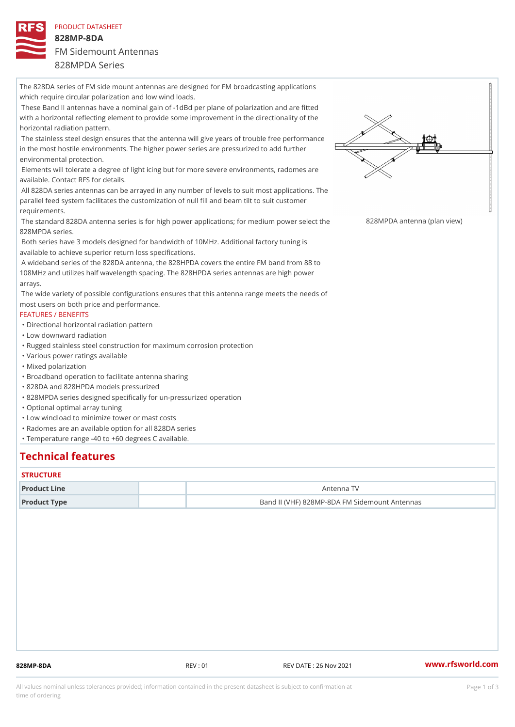PRODUCT DATASHEET 828MP-8DA FM Sidemount Antennas 828MPDA Series

The 828DA series of FM side mount antennas are designed for FM broadcasting applications which require circular polarization and low wind loads. These Band II antennas have a nominal gain of -1dBd per plane of polarization and are fitted with a horizontal reflecting element to provide some improvement in the directionality of the horizontal radiation pattern. The stainless steel design ensures that the antenna will give years of trouble free performance in the most hostile environments. The higher power series are pressurized to add further environmental protection. Elements will tolerate a degree of light icing but for more severe environments, radomes are available. Contact RFS for details. All 828DA series antennas can be arrayed in any number of levels to suit most applications. The parallel feed system facilitates the customization of null fill and beam tilt to suit customer requirements. The standard 828DA antenna series is for high power applications; fo82n&&McPwnA paoweennsae(plcanthveiew) 828MPDA series. Both series have 3 models designed for bandwidth of 10MHz. Additional factory tuning is available to achieve superior return loss specifications. A wideband series of the 828DA antenna, the 828HPDA covers the entire FM band from 88 to 108MHz and utilizes half wavelength spacing. The 828HPDA series antennas are high power arrays. The wide variety of possible configurations ensures that this antenna range meets the needs of most users on both price and performance. FEATURES / BENEFITS "Directional horizontal radiation pattern "Low downward radiation "Rugged stainless steel construction for maximum corrosion protection "Various power ratings available "Mixed polarization "Broadband operation to facilitate antenna sharing "828DA and 828HPDA models pressurized "828MPDA series designed specifically for un-pressurized operation "Optional optimal array tuning "Low windload to minimize tower or mast costs "Radomes are an available option for all 828DA series "Temperature range -40 to +60 degrees C available.

## Technical features

#### **STRUCTURE**

| Product Line | Antenna TV                                    |  |
|--------------|-----------------------------------------------|--|
| Product Type | Band II (VHF) 828MP-8DA FM Sidemount Antennas |  |

828MP-8DA REV : 01 REV DATE : 26 Nov 2021 [www.](https://www.rfsworld.com)rfsworld.com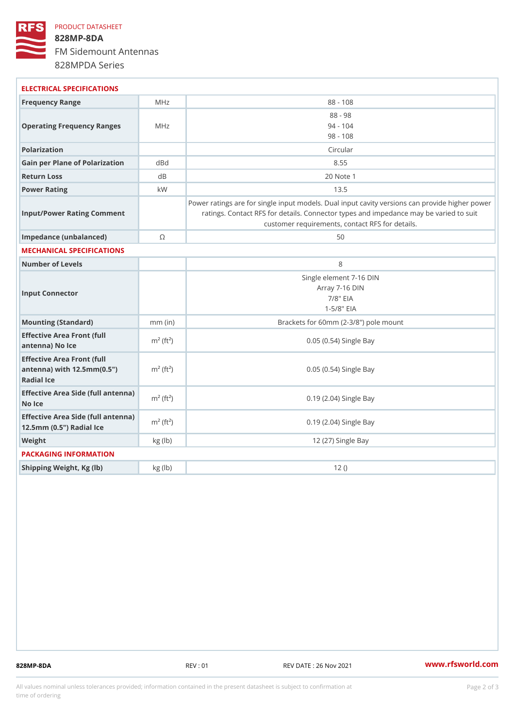## PRODUCT DATASHEET 828MP-8DA FM Sidemount Antennas 828MPDA Series

| ELECTRICAL SPECIFICATIONS                                                                                   |                         |                                                                                                                                                                                          |
|-------------------------------------------------------------------------------------------------------------|-------------------------|------------------------------------------------------------------------------------------------------------------------------------------------------------------------------------------|
| Frequency Range                                                                                             | MHz                     | $88 - 108$                                                                                                                                                                               |
| Operating Frequency RangeMHz                                                                                |                         | $88 - 98$<br>$94 - 104$<br>$98 - 108$                                                                                                                                                    |
| Polarization                                                                                                |                         | Circular                                                                                                                                                                                 |
| Gain per Plane of Polarizat doBnd                                                                           |                         | 8.55                                                                                                                                                                                     |
| Return Loss                                                                                                 | d <sub>B</sub>          | 20 Note 1                                                                                                                                                                                |
| Power Rating                                                                                                | k W                     | 13.5                                                                                                                                                                                     |
| Input/Power Rating Comment                                                                                  |                         | Power ratings are for single input models. Dual input cavity versid<br>ratings. Contact RFS for details. Connector types and impedand<br>customer requirements, contact RFS for details. |
| Impedance (unbalanced)                                                                                      | $\odot$                 | 50                                                                                                                                                                                       |
| MECHANICAL SPECIFICATIONS                                                                                   |                         |                                                                                                                                                                                          |
| Number of Levels                                                                                            |                         | 8                                                                                                                                                                                        |
| Input Connector                                                                                             |                         | Single element 7-16 DIN<br>Array 7-16 DIN<br>$7/8$ " EIA<br>$1 - 5/8$ $EIA$                                                                                                              |
| Mounting (Standard)                                                                                         | $mm$ (in)               | Brackets for 60mm (2-3/8") pole mount                                                                                                                                                    |
| Effective Area Front (full<br>antenna) No Ice                                                               | $m2$ (ft <sup>2</sup> ) | 0.05 (0.54) Single Bay                                                                                                                                                                   |
| Effective Area Front (full<br>antenna) with $12.5$ mm $(0.5$ " $\dot{m}$ <sup>2</sup> $(ft2)$<br>Radial Ice |                         | 0.05 (0.54) Single Bay                                                                                                                                                                   |
| Effective Area Side (full antenna)<br>No Ice                                                                |                         | 0.19 (2.04) Single Bay                                                                                                                                                                   |
| Effective Area Side (full antenna)<br>12.5mm (0.5") Radial Ice                                              |                         | 0.19 (2.04) Single Bay                                                                                                                                                                   |
| Weight                                                                                                      | kg(lb)                  | 12 (27) Single Bay                                                                                                                                                                       |
| PACKAGING INFORMATION                                                                                       |                         |                                                                                                                                                                                          |
| Shipping Weight, Kg (lb)                                                                                    | kg(lb)                  | 12()                                                                                                                                                                                     |
|                                                                                                             |                         |                                                                                                                                                                                          |

828MP-8DA REV : 01 REV DATE : 26 Nov 2021 [www.](https://www.rfsworld.com)rfsworld.com